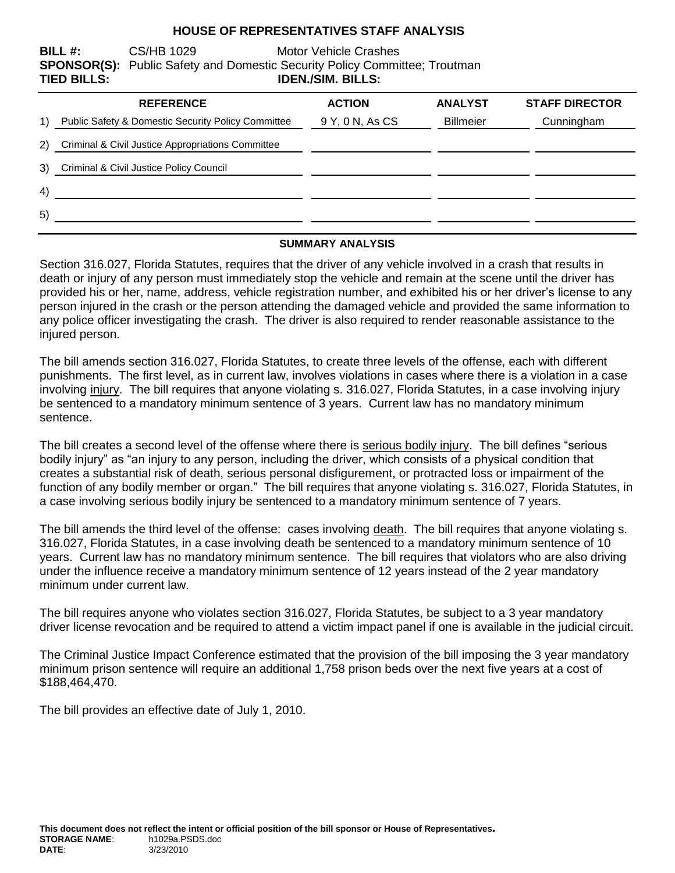### **HOUSE OF REPRESENTATIVES STAFF ANALYSIS**

**BILL #:** CS/HB 1029 Motor Vehicle Crashes **SPONSOR(S):** Public Safety and Domestic Security Policy Committee; Troutman **TIED BILLS: IDEN./SIM. BILLS:**

|                                                | <b>REFERENCE</b>                                   | <b>ACTION</b>   | <b>ANALYST</b>   | <b>STAFF DIRECTOR</b> |
|------------------------------------------------|----------------------------------------------------|-----------------|------------------|-----------------------|
| $\left( \begin{matrix} 1 \end{matrix} \right)$ | Public Safety & Domestic Security Policy Committee | 9 Y, 0 N, As CS | <b>Billmeier</b> | Cunningham            |
| 2)                                             | Criminal & Civil Justice Appropriations Committee  |                 |                  |                       |
| 3)                                             | Criminal & Civil Justice Policy Council            |                 |                  |                       |
| 4)                                             |                                                    |                 |                  |                       |
| 5)                                             |                                                    |                 |                  |                       |

#### **SUMMARY ANALYSIS**

Section 316.027, Florida Statutes, requires that the driver of any vehicle involved in a crash that results in death or injury of any person must immediately stop the vehicle and remain at the scene until the driver has provided his or her, name, address, vehicle registration number, and exhibited his or her driver's license to any person injured in the crash or the person attending the damaged vehicle and provided the same information to any police officer investigating the crash. The driver is also required to render reasonable assistance to the injured person.

The bill amends section 316.027, Florida Statutes, to create three levels of the offense, each with different punishments. The first level, as in current law, involves violations in cases where there is a violation in a case involving injury. The bill requires that anyone violating s. 316.027, Florida Statutes, in a case involving injury be sentenced to a mandatory minimum sentence of 3 years. Current law has no mandatory minimum sentence.

The bill creates a second level of the offense where there is serious bodily injury. The bill defines "serious bodily injury" as "an injury to any person, including the driver, which consists of a physical condition that creates a substantial risk of death, serious personal disfigurement, or protracted loss or impairment of the function of any bodily member or organ." The bill requires that anyone violating s. 316.027, Florida Statutes, in a case involving serious bodily injury be sentenced to a mandatory minimum sentence of 7 years.

The bill amends the third level of the offense: cases involving death. The bill requires that anyone violating s. 316.027, Florida Statutes, in a case involving death be sentenced to a mandatory minimum sentence of 10 years. Current law has no mandatory minimum sentence. The bill requires that violators who are also driving under the influence receive a mandatory minimum sentence of 12 years instead of the 2 year mandatory minimum under current law.

The bill requires anyone who violates section 316.027, Florida Statutes, be subject to a 3 year mandatory driver license revocation and be required to attend a victim impact panel if one is available in the judicial circuit.

The Criminal Justice Impact Conference estimated that the provision of the bill imposing the 3 year mandatory minimum prison sentence will require an additional 1,758 prison beds over the next five years at a cost of \$188,464,470.

The bill provides an effective date of July 1, 2010.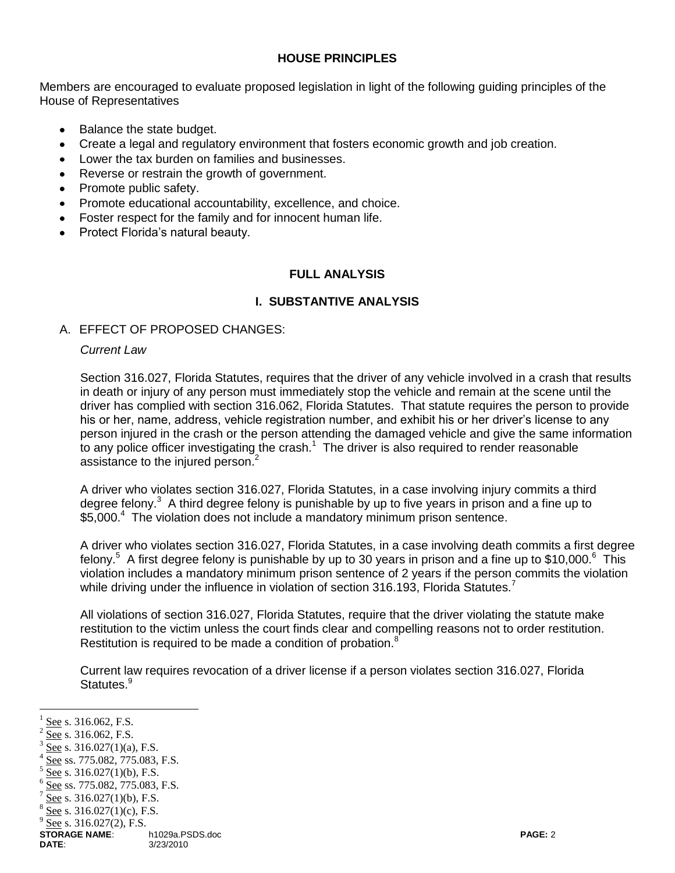### **HOUSE PRINCIPLES**

Members are encouraged to evaluate proposed legislation in light of the following guiding principles of the House of Representatives

- Balance the state budget.
- Create a legal and regulatory environment that fosters economic growth and job creation.
- Lower the tax burden on families and businesses.
- Reverse or restrain the growth of government.
- Promote public safety.
- Promote educational accountability, excellence, and choice.
- Foster respect for the family and for innocent human life.
- Protect Florida's natural beauty.

### **FULL ANALYSIS**

### **I. SUBSTANTIVE ANALYSIS**

### A. EFFECT OF PROPOSED CHANGES:

#### *Current Law*

Section 316.027, Florida Statutes, requires that the driver of any vehicle involved in a crash that results in death or injury of any person must immediately stop the vehicle and remain at the scene until the driver has complied with section 316.062, Florida Statutes. That statute requires the person to provide his or her, name, address, vehicle registration number, and exhibit his or her driver's license to any person injured in the crash or the person attending the damaged vehicle and give the same information to any police officer investigating the crash.<sup>1</sup> The driver is also required to render reasonable assistance to the injured person.<sup>2</sup>

A driver who violates section 316.027, Florida Statutes, in a case involving injury commits a third degree felony.<sup>3</sup> A third degree felony is punishable by up to five years in prison and a fine up to \$5,000.<sup>4</sup> The violation does not include a mandatory minimum prison sentence.

A driver who violates section 316.027, Florida Statutes, in a case involving death commits a first degree felony.<sup>5</sup> A first degree felony is punishable by up to 30 years in prison and a fine up to \$10,000.<sup>6</sup> This violation includes a mandatory minimum prison sentence of 2 years if the person commits the violation while driving under the influence in violation of section 316.193, Florida Statutes.<sup>7</sup>

All violations of section 316.027, Florida Statutes, require that the driver violating the statute make restitution to the victim unless the court finds clear and compelling reasons not to order restitution. Restitution is required to be made a condition of probation.<sup>8</sup>

Current law requires revocation of a driver license if a person violates section 316.027, Florida Statutes.<sup>9</sup>

 $\overline{a}$ 

- 4 See ss. 775.082, 775.083, F.S.
- 5 See s. 316.027(1)(b), F.S.

<sup>1</sup> See s. 316.062, F.S.

<sup>2</sup> See s. 316.062, F.S.

<sup>3</sup> See s. 316.027(1)(a), F.S.

<sup>6</sup> See ss. 775.082, 775.083, F.S.

<sup>7</sup> See s. 316.027(1)(b), F.S.

<sup>8</sup> See s. 316.027(1)(c), F.S.

<sup>9</sup> See s. 316.027(2), F.S.

**STORAGE NAME**:  $\overbrace{3/23/2010}^{n}$  h1029a.PSDS.doc **DATE**: 3/23/2010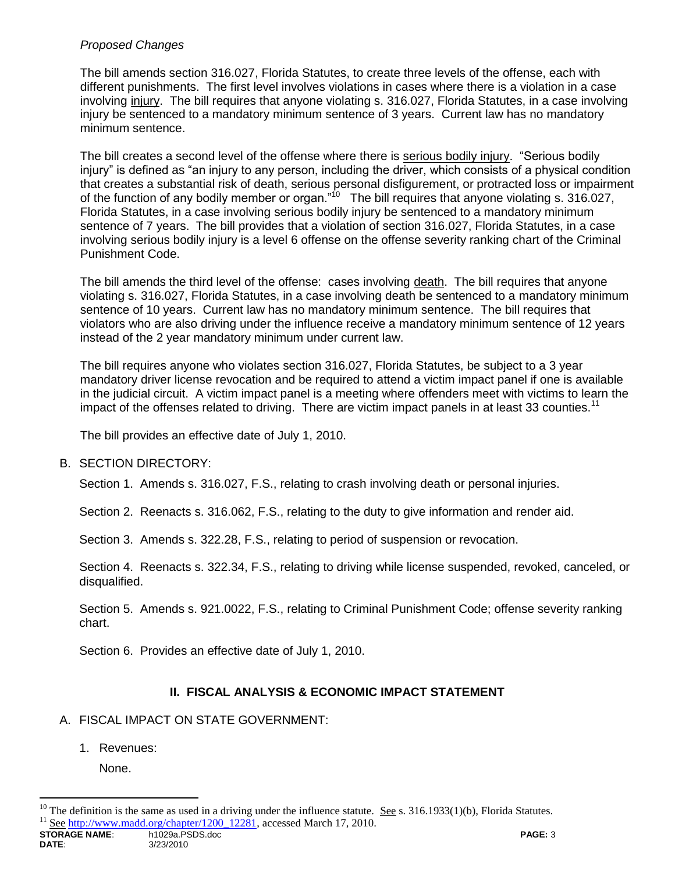# *Proposed Changes*

The bill amends section 316.027, Florida Statutes, to create three levels of the offense, each with different punishments. The first level involves violations in cases where there is a violation in a case involving injury. The bill requires that anyone violating s. 316.027, Florida Statutes, in a case involving injury be sentenced to a mandatory minimum sentence of 3 years. Current law has no mandatory minimum sentence.

The bill creates a second level of the offense where there is serious bodily injury. "Serious bodily injury" is defined as "an injury to any person, including the driver, which consists of a physical condition that creates a substantial risk of death, serious personal disfigurement, or protracted loss or impairment of the function of any bodily member or organ."<sup>10</sup> The bill requires that anyone violating s. 316.027, Florida Statutes, in a case involving serious bodily injury be sentenced to a mandatory minimum sentence of 7 years. The bill provides that a violation of section 316.027, Florida Statutes, in a case involving serious bodily injury is a level 6 offense on the offense severity ranking chart of the Criminal Punishment Code.

The bill amends the third level of the offense: cases involving death. The bill requires that anyone violating s. 316.027, Florida Statutes, in a case involving death be sentenced to a mandatory minimum sentence of 10 years. Current law has no mandatory minimum sentence. The bill requires that violators who are also driving under the influence receive a mandatory minimum sentence of 12 years instead of the 2 year mandatory minimum under current law.

The bill requires anyone who violates section 316.027, Florida Statutes, be subject to a 3 year mandatory driver license revocation and be required to attend a victim impact panel if one is available in the judicial circuit. A victim impact panel is a meeting where offenders meet with victims to learn the impact of the offenses related to driving. There are victim impact panels in at least 33 counties.<sup>11</sup>

The bill provides an effective date of July 1, 2010.

### B. SECTION DIRECTORY:

Section 1. Amends s. 316.027, F.S., relating to crash involving death or personal injuries.

Section 2. Reenacts s. 316.062, F.S., relating to the duty to give information and render aid.

Section 3. Amends s. 322.28, F.S., relating to period of suspension or revocation.

Section 4. Reenacts s. 322.34, F.S., relating to driving while license suspended, revoked, canceled, or disqualified.

Section 5. Amends s. 921.0022, F.S., relating to Criminal Punishment Code; offense severity ranking chart.

Section 6. Provides an effective date of July 1, 2010.

# **II. FISCAL ANALYSIS & ECONOMIC IMPACT STATEMENT**

### A. FISCAL IMPACT ON STATE GOVERNMENT:

1. Revenues:

None.

 $\overline{a}$ 

<sup>&</sup>lt;sup>10</sup> The definition is the same as used in a driving under the influence statute. <u>See</u> s. 316.1933(1)(b), Florida Statutes.<br><sup>11</sup> See http://www.madd.org/chanter/1200, 12281, accessed March 17, 2010. See [http://www.madd.org/chapter/1200\\_12281,](http://www.madd.org/chapter/1200_12281) accessed March 17, 2010.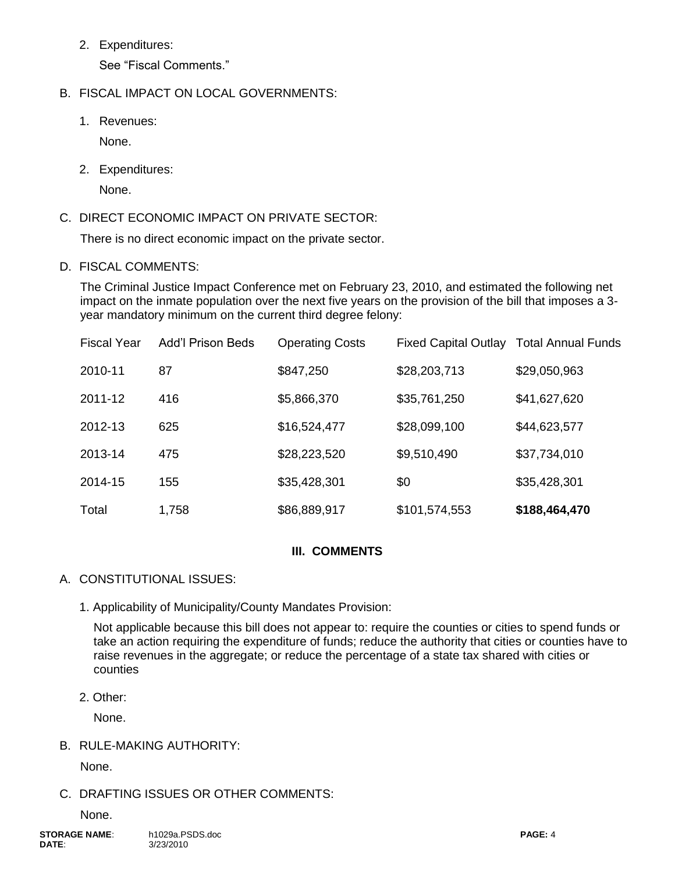2. Expenditures:

See "Fiscal Comments."

# B. FISCAL IMPACT ON LOCAL GOVERNMENTS:

1. Revenues:

None.

2. Expenditures:

None.

C. DIRECT ECONOMIC IMPACT ON PRIVATE SECTOR:

There is no direct economic impact on the private sector.

D. FISCAL COMMENTS:

The Criminal Justice Impact Conference met on February 23, 2010, and estimated the following net impact on the inmate population over the next five years on the provision of the bill that imposes a 3 year mandatory minimum on the current third degree felony:

| <b>Fiscal Year</b> | <b>Add'l Prison Beds</b> | <b>Operating Costs</b> | <b>Fixed Capital Outlay</b> | <b>Total Annual Funds</b> |
|--------------------|--------------------------|------------------------|-----------------------------|---------------------------|
| 2010-11            | 87                       | \$847,250              | \$28,203,713                | \$29,050,963              |
| 2011-12            | 416                      | \$5,866,370            | \$35,761,250                | \$41,627,620              |
| 2012-13            | 625                      | \$16,524,477           | \$28,099,100                | \$44,623,577              |
| 2013-14            | 475                      | \$28,223,520           | \$9,510,490                 | \$37,734,010              |
| 2014-15            | 155                      | \$35,428,301           | \$0                         | \$35,428,301              |
| Total              | 1,758                    | \$86,889,917           | \$101,574,553               | \$188,464,470             |

### **III. COMMENTS**

- A. CONSTITUTIONAL ISSUES:
	- 1. Applicability of Municipality/County Mandates Provision:

Not applicable because this bill does not appear to: require the counties or cities to spend funds or take an action requiring the expenditure of funds; reduce the authority that cities or counties have to raise revenues in the aggregate; or reduce the percentage of a state tax shared with cities or counties

2. Other:

None.

B. RULE-MAKING AUTHORITY:

None.

# C. DRAFTING ISSUES OR OTHER COMMENTS:

None.